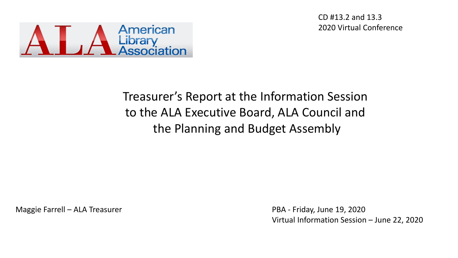CD #13.2 and 13.3 2020 Virtual Conference



#### Treasurer's Report at the Information Session to the ALA Executive Board, ALA Council and the Planning and Budget Assembly

Maggie Farrell – ALA Treasurer

PBA - Friday, June 19, 2020 Virtual Information Session – June 22, 2020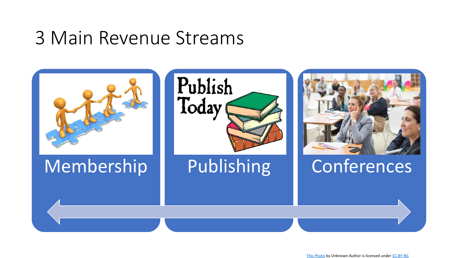### 3 Main Revenue Streams

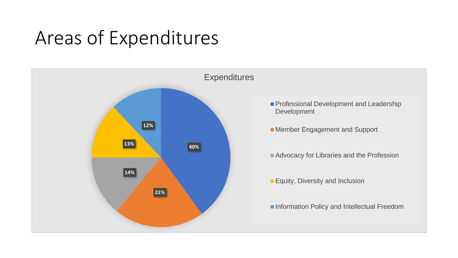### Areas of Expenditures

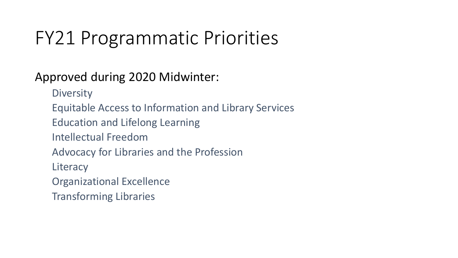## FY21 Programmatic Priorities

#### Approved during 2020 Midwinter:

- **Diversity**
- Equitable Access to Information and Library Services
- Education and Lifelong Learning
- Intellectual Freedom
- Advocacy for Libraries and the Profession
- **Literacy**
- Organizational Excellence
- Transforming Libraries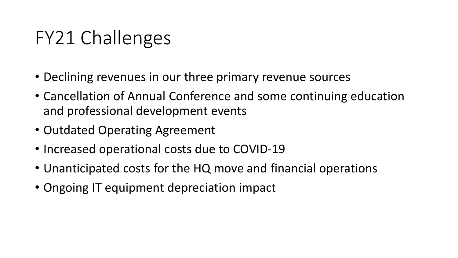## FY21 Challenges

- Declining revenues in our three primary revenue sources
- Cancellation of Annual Conference and some continuing education and professional development events
- Outdated Operating Agreement
- Increased operational costs due to COVID-19
- Unanticipated costs for the HQ move and financial operations
- Ongoing IT equipment depreciation impact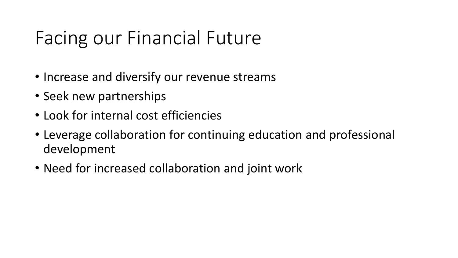## Facing our Financial Future

- Increase and diversify our revenue streams
- Seek new partnerships
- Look for internal cost efficiencies
- Leverage collaboration for continuing education and professional development
- Need for increased collaboration and joint work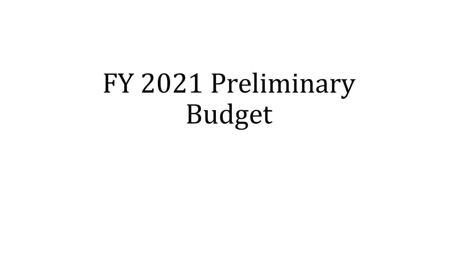# FY 2021 Preliminary Budget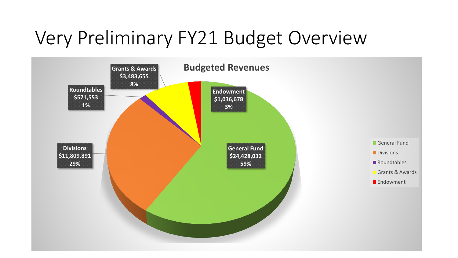### Very Preliminary FY21 Budget Overview

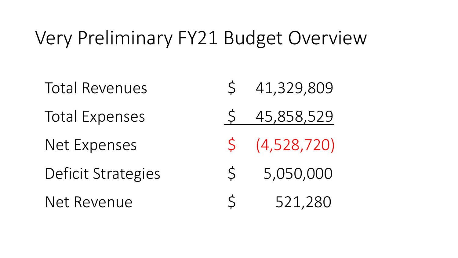### Very Preliminary FY21 Budget Overview

Total Revenues 5 41,329,809 Total Expenses 5 45,858,529 Net Expenses \$ (4,528,720) Deficit Strategies  $\begin{array}{cc} 5 & 5,050,000 \end{array}$ Net Revenue  $\begin{array}{cc} 5 & 521,280 \end{array}$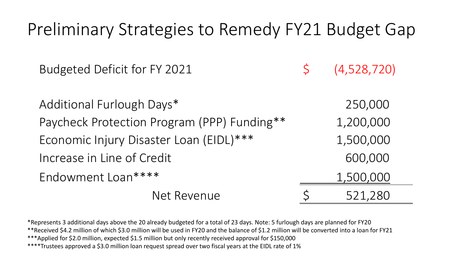| Preliminary Strategies to Remedy FY21 Budget Gap |   |             |
|--------------------------------------------------|---|-------------|
| Budgeted Deficit for FY 2021                     | S | (4,528,720) |
| Additional Furlough Days*                        |   | 250,000     |
| Paycheck Protection Program (PPP) Funding**      |   | 1,200,000   |
| Economic Injury Disaster Loan (EIDL)***          |   | 1,500,000   |
| Increase in Line of Credit                       |   | 600,000     |
| Endowment Loan****                               |   | 1,500,000   |
| Net Revenue                                      |   | 521,280     |

\*Represents 3 additional days above the 20 already budgeted for a total of 23 days. Note: 5 furlough days are planned for FY20 \*\*Received \$4.2 million of which \$3.0 million will be used in FY20 and the balance of \$1.2 million will be converted into a loan for FY21 \*\*\*Applied for \$2.0 million, expected \$1.5 million but only recently received approval for \$150,000 \*\*\*\*Trustees approved a \$3.0 million loan request spread over two fiscal years at the EIDL rate of 1%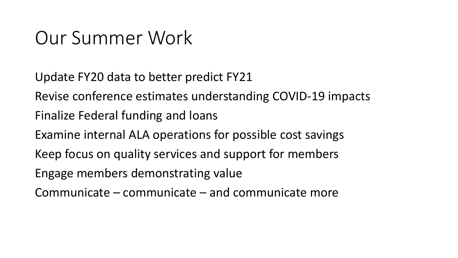### Our Summer Work

Update FY20 data to better predict FY21

Revise conference estimates understanding COVID-19 impacts

Finalize Federal funding and loans

Examine internal ALA operations for possible cost savings

Keep focus on quality services and support for members

Engage members demonstrating value

Communicate – communicate – and communicate more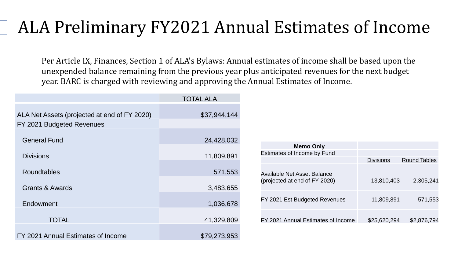### ALA Preliminary FY2021 Annual Estimates of Income

Per Article IX, Finances, Section 1 of ALA's Bylaws: Annual estimates of income shall be based upon the unexpended balance remaining from the previous year plus anticipated revenues for the next budget year. BARC is charged with reviewing and approving the Annual Estimates of Income.

|                                                                           | <b>TOTAL ALA</b> |
|---------------------------------------------------------------------------|------------------|
| ALA Net Assets (projected at end of FY 2020)<br>FY 2021 Budgeted Revenues | \$37,944,144     |
| <b>General Fund</b>                                                       | 24,428,032       |
| <b>Divisions</b>                                                          | 11,809,891       |
| <b>Roundtables</b>                                                        | 571,553          |
| <b>Grants &amp; Awards</b>                                                | 3,483,655        |
| Endowment                                                                 | 1,036,678        |
| <b>TOTAL</b>                                                              | 41,329,809       |
| FY 2021 Annual Estimates of Income                                        | \$79,273,953     |

| <b>Memo Only</b>                                                    |                  |                     |
|---------------------------------------------------------------------|------------------|---------------------|
| Estimates of Income by Fund                                         |                  |                     |
|                                                                     | <b>Divisions</b> | <b>Round Tables</b> |
|                                                                     |                  |                     |
| <b>Available Net Asset Balance</b><br>(projected at end of FY 2020) | 13,810,403       | 2,305,241           |
| FY 2021 Est Budgeted Revenues                                       | 11,809,891       | 571,553             |
| FY 2021 Annual Estimates of Income                                  | \$25,620,294     | \$2,876,794         |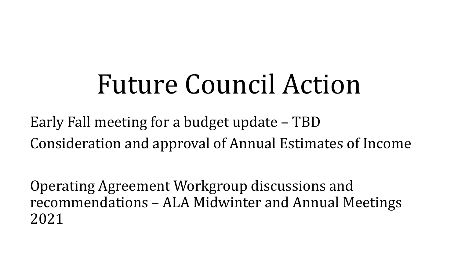## Future Council Action

Early Fall meeting for a budget update – TBD Consideration and approval of Annual Estimates of Income

Operating Agreement Workgroup discussions and recommendations – ALA Midwinter and Annual Meetings 2021